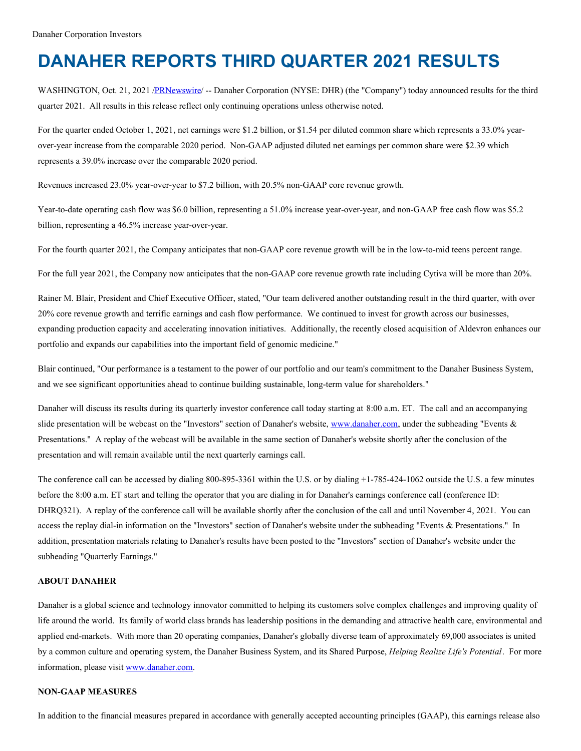# **DANAHER REPORTS THIRD QUARTER 2021 RESULTS**

WASHINGTON, Oct. 21, 2021 [/PRNewswire/](http://www.prnewswire.com/) -- Danaher Corporation (NYSE: DHR) (the "Company") today announced results for the third quarter 2021. All results in this release reflect only continuing operations unless otherwise noted.

For the quarter ended October 1, 2021, net earnings were \$1.2 billion, or \$1.54 per diluted common share which represents a 33.0% yearover-year increase from the comparable 2020 period. Non-GAAP adjusted diluted net earnings per common share were \$2.39 which represents a 39.0% increase over the comparable 2020 period.

Revenues increased 23.0% year-over-year to \$7.2 billion, with 20.5% non-GAAP core revenue growth.

Year-to-date operating cash flow was \$6.0 billion, representing a 51.0% increase year-over-year, and non-GAAP free cash flow was \$5.2 billion, representing a 46.5% increase year-over-year.

For the fourth quarter 2021, the Company anticipates that non-GAAP core revenue growth will be in the low-to-mid teens percent range.

For the full year 2021, the Company now anticipates that the non-GAAP core revenue growth rate including Cytiva will be more than 20%.

Rainer M. Blair, President and Chief Executive Officer, stated, "Our team delivered another outstanding result in the third quarter, with over 20% core revenue growth and terrific earnings and cash flow performance. We continued to invest for growth across our businesses, expanding production capacity and accelerating innovation initiatives. Additionally, the recently closed acquisition of Aldevron enhances our portfolio and expands our capabilities into the important field of genomic medicine."

Blair continued, "Our performance is a testament to the power of our portfolio and our team's commitment to the Danaher Business System, and we see significant opportunities ahead to continue building sustainable, long-term value for shareholders."

Danaher will discuss its results during its quarterly investor conference call today starting at 8:00 a.m. ET. The call and an accompanying slide presentation will be webcast on the "Investors" section of Danaher's website, [www.danaher.com](http://www.danaher.com), under the subheading "Events & Presentations." A replay of the webcast will be available in the same section of Danaher's website shortly after the conclusion of the presentation and will remain available until the next quarterly earnings call.

The conference call can be accessed by dialing 800-895-3361 within the U.S. or by dialing +1-785-424-1062 outside the U.S. a few minutes before the 8:00 a.m. ET start and telling the operator that you are dialing in for Danaher's earnings conference call (conference ID: DHRQ321). A replay of the conference call will be available shortly after the conclusion of the call and until November 4, 2021. You can access the replay dial-in information on the "Investors" section of Danaher's website under the subheading "Events & Presentations." In addition, presentation materials relating to Danaher's results have been posted to the "Investors" section of Danaher's website under the subheading "Quarterly Earnings."

#### **ABOUT DANAHER**

Danaher is a global science and technology innovator committed to helping its customers solve complex challenges and improving quality of life around the world. Its family of world class brands has leadership positions in the demanding and attractive health care, environmental and applied end-markets. With more than 20 operating companies, Danaher's globally diverse team of approximately 69,000 associates is united by a common culture and operating system, the Danaher Business System, and its Shared Purpose, *Helping Realize Life's Potential*. For more information, please visit [www.danaher.com](http://www.danaher.com).

#### **NON-GAAP MEASURES**

In addition to the financial measures prepared in accordance with generally accepted accounting principles (GAAP), this earnings release also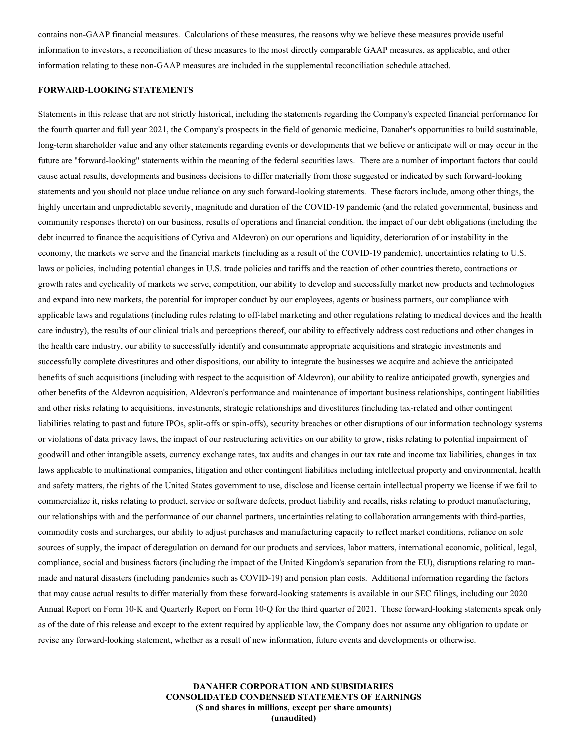contains non-GAAP financial measures. Calculations of these measures, the reasons why we believe these measures provide useful information to investors, a reconciliation of these measures to the most directly comparable GAAP measures, as applicable, and other information relating to these non-GAAP measures are included in the supplemental reconciliation schedule attached.

## **FORWARD-LOOKING STATEMENTS**

Statements in this release that are not strictly historical, including the statements regarding the Company's expected financial performance for the fourth quarter and full year 2021, the Company's prospects in the field of genomic medicine, Danaher's opportunities to build sustainable, long-term shareholder value and any other statements regarding events or developments that we believe or anticipate will or may occur in the future are "forward-looking" statements within the meaning of the federal securities laws. There are a number of important factors that could cause actual results, developments and business decisions to differ materially from those suggested or indicated by such forward-looking statements and you should not place undue reliance on any such forward-looking statements. These factors include, among other things, the highly uncertain and unpredictable severity, magnitude and duration of the COVID-19 pandemic (and the related governmental, business and community responses thereto) on our business, results of operations and financial condition, the impact of our debt obligations (including the debt incurred to finance the acquisitions of Cytiva and Aldevron) on our operations and liquidity, deterioration of or instability in the economy, the markets we serve and the financial markets (including as a result of the COVID-19 pandemic), uncertainties relating to U.S. laws or policies, including potential changes in U.S. trade policies and tariffs and the reaction of other countries thereto, contractions or growth rates and cyclicality of markets we serve, competition, our ability to develop and successfully market new products and technologies and expand into new markets, the potential for improper conduct by our employees, agents or business partners, our compliance with applicable laws and regulations (including rules relating to off-label marketing and other regulations relating to medical devices and the health care industry), the results of our clinical trials and perceptions thereof, our ability to effectively address cost reductions and other changes in the health care industry, our ability to successfully identify and consummate appropriate acquisitions and strategic investments and successfully complete divestitures and other dispositions, our ability to integrate the businesses we acquire and achieve the anticipated benefits of such acquisitions (including with respect to the acquisition of Aldevron), our ability to realize anticipated growth, synergies and other benefits of the Aldevron acquisition, Aldevron's performance and maintenance of important business relationships, contingent liabilities and other risks relating to acquisitions, investments, strategic relationships and divestitures (including tax-related and other contingent liabilities relating to past and future IPOs, split-offs or spin-offs), security breaches or other disruptions of our information technology systems or violations of data privacy laws, the impact of our restructuring activities on our ability to grow, risks relating to potential impairment of goodwill and other intangible assets, currency exchange rates, tax audits and changes in our tax rate and income tax liabilities, changes in tax laws applicable to multinational companies, litigation and other contingent liabilities including intellectual property and environmental, health and safety matters, the rights of the United States government to use, disclose and license certain intellectual property we license if we fail to commercialize it, risks relating to product, service or software defects, product liability and recalls, risks relating to product manufacturing, our relationships with and the performance of our channel partners, uncertainties relating to collaboration arrangements with third-parties, commodity costs and surcharges, our ability to adjust purchases and manufacturing capacity to reflect market conditions, reliance on sole sources of supply, the impact of deregulation on demand for our products and services, labor matters, international economic, political, legal, compliance, social and business factors (including the impact of the United Kingdom's separation from the EU), disruptions relating to manmade and natural disasters (including pandemics such as COVID-19) and pension plan costs. Additional information regarding the factors that may cause actual results to differ materially from these forward-looking statements is available in our SEC filings, including our 2020 Annual Report on Form 10-K and Quarterly Report on Form 10-Q for the third quarter of 2021. These forward-looking statements speak only as of the date of this release and except to the extent required by applicable law, the Company does not assume any obligation to update or revise any forward-looking statement, whether as a result of new information, future events and developments or otherwise.

> **DANAHER CORPORATION AND SUBSIDIARIES CONSOLIDATED CONDENSED STATEMENTS OF EARNINGS (\$ and shares in millions, except per share amounts) (unaudited)**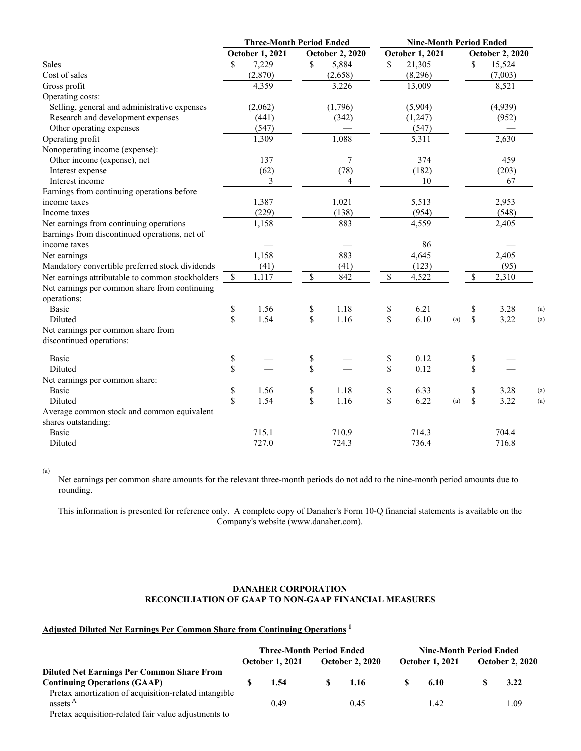|                                                  | <b>Three-Month Period Ended</b> |                        |                                             | <b>Nine-Month Period Ended</b> |              |                        |     |              |                        |     |
|--------------------------------------------------|---------------------------------|------------------------|---------------------------------------------|--------------------------------|--------------|------------------------|-----|--------------|------------------------|-----|
|                                                  |                                 | <b>October 1, 2021</b> |                                             | <b>October 2, 2020</b>         |              | <b>October 1, 2021</b> |     |              | <b>October 2, 2020</b> |     |
| Sales                                            | \$                              | 7,229                  | \$                                          | 5,884                          | $\mathbb{S}$ | 21,305                 |     | \$           | 15,524                 |     |
| Cost of sales                                    |                                 | (2,870)                |                                             | (2,658)                        |              | (8,296)                |     |              | (7,003)                |     |
| Gross profit                                     |                                 | 4,359                  |                                             | 3,226                          |              | 13,009                 |     |              | 8,521                  |     |
| Operating costs:                                 |                                 |                        |                                             |                                |              |                        |     |              |                        |     |
| Selling, general and administrative expenses     |                                 | (2,062)                |                                             | (1,796)                        |              | (5,904)                |     |              | (4,939)                |     |
| Research and development expenses                |                                 | (441)                  |                                             | (342)                          |              | (1,247)                |     |              | (952)                  |     |
| Other operating expenses                         |                                 | (547)                  |                                             |                                |              | (547)                  |     |              |                        |     |
| Operating profit                                 |                                 | 1,309                  |                                             | 1,088                          |              | 5,311                  |     |              | 2,630                  |     |
| Nonoperating income (expense):                   |                                 |                        |                                             |                                |              |                        |     |              |                        |     |
| Other income (expense), net                      |                                 | 137                    |                                             | 7                              |              | 374                    |     |              | 459                    |     |
| Interest expense                                 |                                 | (62)                   |                                             | (78)                           |              | (182)                  |     |              | (203)                  |     |
| Interest income                                  |                                 | 3                      |                                             | 4                              |              | 10                     |     |              | 67                     |     |
| Earnings from continuing operations before       |                                 |                        |                                             |                                |              |                        |     |              |                        |     |
| income taxes                                     |                                 | 1,387                  |                                             | 1,021                          |              | 5,513                  |     |              | 2,953                  |     |
| Income taxes                                     |                                 | (229)                  |                                             | (138)                          |              | (954)                  |     |              | (548)                  |     |
| Net earnings from continuing operations          |                                 | 1,158                  |                                             | 883                            |              | 4,559                  |     |              | 2,405                  |     |
| Earnings from discontinued operations, net of    |                                 |                        |                                             |                                |              |                        |     |              |                        |     |
| income taxes                                     |                                 |                        |                                             |                                |              | 86                     |     |              |                        |     |
| Net earnings                                     |                                 | 1,158                  |                                             | 883                            |              | 4,645                  |     |              | 2,405                  |     |
| Mandatory convertible preferred stock dividends  |                                 | (41)                   |                                             | (41)                           |              | (123)                  |     |              | (95)                   |     |
| Net earnings attributable to common stockholders | $\mathbb{S}$                    | 1,117                  | $\mathbb{S}$                                | 842                            | $\mathbb{S}$ | 4,522                  |     | $\mathbb{S}$ | 2,310                  |     |
| Net earnings per common share from continuing    |                                 |                        |                                             |                                |              |                        |     |              |                        |     |
| operations:                                      |                                 |                        |                                             |                                |              |                        |     |              |                        |     |
| <b>Basic</b>                                     | \$                              | 1.56                   | \$                                          | 1.18                           | \$           | 6.21                   |     | \$           | 3.28                   | (a) |
| Diluted                                          | \$                              | 1.54                   | \$                                          | 1.16                           | \$           | 6.10                   | (a) | \$           | 3.22                   | (a) |
| Net earnings per common share from               |                                 |                        |                                             |                                |              |                        |     |              |                        |     |
| discontinued operations:                         |                                 |                        |                                             |                                |              |                        |     |              |                        |     |
| <b>Basic</b>                                     | \$                              |                        | \$                                          |                                | \$           | 0.12                   |     | \$           |                        |     |
| <b>Diluted</b>                                   | \$                              |                        | \$                                          |                                | \$           | 0.12                   |     | \$           |                        |     |
| Net earnings per common share:                   |                                 |                        |                                             |                                |              |                        |     |              |                        |     |
| <b>Basic</b>                                     | \$                              | 1.56                   | $\mathbb{S}% _{n}^{X\rightarrow\mathbb{R}}$ | 1.18                           | \$           | 6.33                   |     | \$           | 3.28                   | (a) |
| Diluted                                          | \$                              | 1.54                   | \$                                          | 1.16                           | \$           | 6.22                   | (a) | \$           | 3.22                   | (a) |
| Average common stock and common equivalent       |                                 |                        |                                             |                                |              |                        |     |              |                        |     |
| shares outstanding:                              |                                 |                        |                                             |                                |              |                        |     |              |                        |     |
| <b>Basic</b>                                     |                                 | 715.1                  |                                             | 710.9                          |              | 714.3                  |     |              | 704.4                  |     |
| Diluted                                          |                                 | 727.0                  |                                             | 724.3                          |              | 736.4                  |     |              | 716.8                  |     |

(a)

Net earnings per common share amounts for the relevant three-month periods do not add to the nine-month period amounts due to rounding.

This information is presented for reference only. A complete copy of Danaher's Form 10-Q financial statements is available on the Company's website (www.danaher.com).

# **DANAHER CORPORATION RECONCILIATION OF GAAP TO NON-GAAP FINANCIAL MEASURES**

# **Adjusted Diluted Net Earnings Per Common Share from Continuing Operations 1**

|                                                       | <b>Three-Month Period Ended</b> |                        |  |                        | <b>Nine-Month Period Ended</b> |                        |  |                        |
|-------------------------------------------------------|---------------------------------|------------------------|--|------------------------|--------------------------------|------------------------|--|------------------------|
|                                                       |                                 | <b>October 1, 2021</b> |  | <b>October 2, 2020</b> |                                | <b>October 1, 2021</b> |  | <b>October 2, 2020</b> |
| <b>Diluted Net Earnings Per Common Share From</b>     |                                 |                        |  |                        |                                |                        |  |                        |
| <b>Continuing Operations (GAAP)</b>                   |                                 | 1.54                   |  | - 1.16                 |                                | 6.10                   |  | 3.22                   |
| Pretax amortization of acquisition-related intangible |                                 |                        |  |                        |                                |                        |  |                        |
| assets <sup>A</sup>                                   |                                 | 0.49                   |  | 0.45                   |                                | 1.42                   |  | 1.09                   |
| Pretax acquisition-related fair value adjustments to  |                                 |                        |  |                        |                                |                        |  |                        |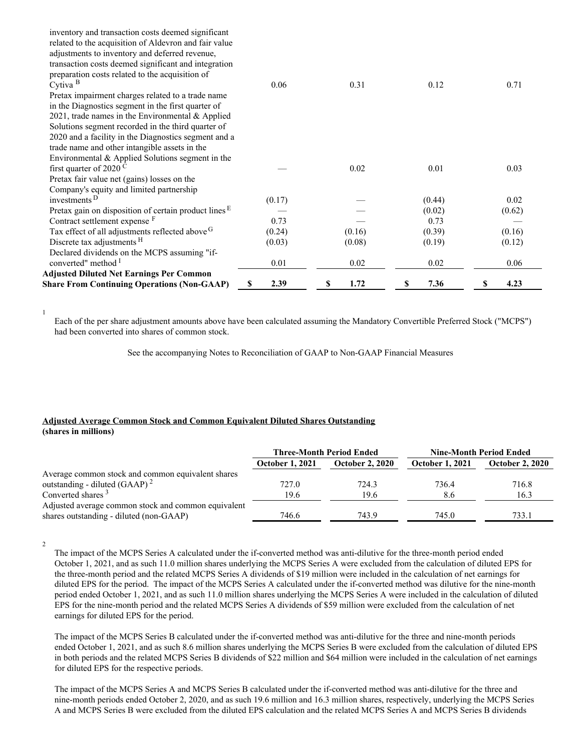| <b>Share From Continuing Operations (Non-GAAP)</b>      | 2.39<br>S | 1.72<br>S | 7.36<br>\$ | 4.23<br>\$ |
|---------------------------------------------------------|-----------|-----------|------------|------------|
| <b>Adjusted Diluted Net Earnings Per Common</b>         |           |           |            |            |
| converted" method <sup>I</sup>                          | 0.01      | 0.02      | 0.02       | 0.06       |
| Declared dividends on the MCPS assuming "if-            |           |           |            |            |
| Discrete tax adjustments <sup>H</sup>                   | (0.03)    | (0.08)    | (0.19)     | (0.12)     |
| Tax effect of all adjustments reflected above G         | (0.24)    | (0.16)    | (0.39)     | (0.16)     |
| Contract settlement expense F                           | 0.73      |           | 0.73       |            |
| Pretax gain on disposition of certain product lines $E$ |           |           | (0.02)     | (0.62)     |
| investments <sup>D</sup>                                | (0.17)    |           | (0.44)     | 0.02       |
| Company's equity and limited partnership                |           |           |            |            |
| Pretax fair value net (gains) losses on the             |           |           |            |            |
| first quarter of 2020 <sup>C</sup>                      |           | 0.02      | 0.01       | 0.03       |
| Environmental $&$ Applied Solutions segment in the      |           |           |            |            |
| trade name and other intangible assets in the           |           |           |            |            |
| 2020 and a facility in the Diagnostics segment and a    |           |           |            |            |
| Solutions segment recorded in the third quarter of      |           |           |            |            |
| 2021, trade names in the Environmental $\&$ Applied     |           |           |            |            |
| in the Diagnostics segment in the first quarter of      |           |           |            |            |
| Pretax impairment charges related to a trade name       |           |           |            |            |
| Cytiva <sup>B</sup>                                     | 0.06      | 0.31      | 0.12       | 0.71       |
| preparation costs related to the acquisition of         |           |           |            |            |
| transaction costs deemed significant and integration    |           |           |            |            |
| adjustments to inventory and deferred revenue,          |           |           |            |            |
| related to the acquisition of Aldevron and fair value   |           |           |            |            |
| inventory and transaction costs deemed significant      |           |           |            |            |

1

Each of the per share adjustment amounts above have been calculated assuming the Mandatory Convertible Preferred Stock ("MCPS") had been converted into shares of common stock.

See the accompanying Notes to Reconciliation of GAAP to Non-GAAP Financial Measures

# **Adjusted Average Common Stock and Common Equivalent Diluted Shares Outstanding (shares in millions)**

|                                                     |                        | <b>Three-Month Period Ended</b> | <b>Nine-Month Period Ended</b> |                        |  |
|-----------------------------------------------------|------------------------|---------------------------------|--------------------------------|------------------------|--|
|                                                     | <b>October 1, 2021</b> | <b>October 2, 2020</b>          | <b>October 1, 2021</b>         | <b>October 2, 2020</b> |  |
| Average common stock and common equivalent shares   |                        |                                 |                                |                        |  |
| outstanding - diluted (GAAP) $^2$                   | 727.0                  | 724.3                           | 736.4                          | 716.8                  |  |
| Converted shares <sup>3</sup>                       | 19.6                   | 19.6                            | 8.6                            | 16.3                   |  |
| Adjusted average common stock and common equivalent |                        |                                 |                                |                        |  |
| shares outstanding - diluted (non-GAAP)             | 746.6                  | 743.9                           | 745.0                          | 733.1                  |  |

2

The impact of the MCPS Series A calculated under the if-converted method was anti-dilutive for the three-month period ended October 1, 2021, and as such 11.0 million shares underlying the MCPS Series A were excluded from the calculation of diluted EPS for the three-month period and the related MCPS Series A dividends of \$19 million were included in the calculation of net earnings for diluted EPS for the period. The impact of the MCPS Series A calculated under the if-converted method was dilutive for the nine-month period ended October 1, 2021, and as such 11.0 million shares underlying the MCPS Series A were included in the calculation of diluted EPS for the nine-month period and the related MCPS Series A dividends of \$59 million were excluded from the calculation of net earnings for diluted EPS for the period.

The impact of the MCPS Series B calculated under the if-converted method was anti-dilutive for the three and nine-month periods ended October 1, 2021, and as such 8.6 million shares underlying the MCPS Series B were excluded from the calculation of diluted EPS in both periods and the related MCPS Series B dividends of \$22 million and \$64 million were included in the calculation of net earnings for diluted EPS for the respective periods.

The impact of the MCPS Series A and MCPS Series B calculated under the if-converted method was anti-dilutive for the three and nine-month periods ended October 2, 2020, and as such 19.6 million and 16.3 million shares, respectively, underlying the MCPS Series A and MCPS Series B were excluded from the diluted EPS calculation and the related MCPS Series A and MCPS Series B dividends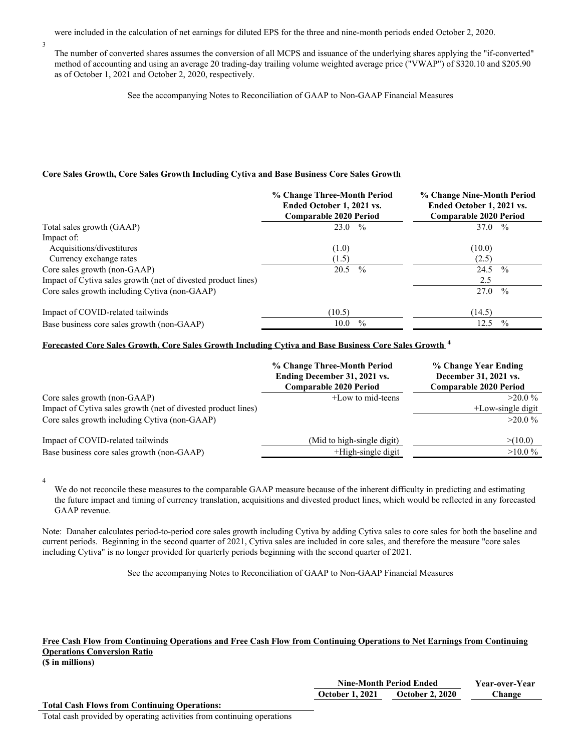were included in the calculation of net earnings for diluted EPS for the three and nine-month periods ended October 2, 2020.

The number of converted shares assumes the conversion of all MCPS and issuance of the underlying shares applying the "if-converted" method of accounting and using an average 20 trading-day trailing volume weighted average price ("VWAP") of \$320.10 and \$205.90 as of October 1, 2021 and October 2, 2020, respectively.

See the accompanying Notes to Reconciliation of GAAP to Non-GAAP Financial Measures

# **Core Sales Growth, Core Sales Growth Including Cytiva and Base Business Core Sales Growth**

|                                                               | % Change Three-Month Period<br>Ended October 1, 2021 vs.<br>Comparable 2020 Period | % Change Nine-Month Period<br>Ended October 1, 2021 vs.<br><b>Comparable 2020 Period</b> |  |  |  |
|---------------------------------------------------------------|------------------------------------------------------------------------------------|------------------------------------------------------------------------------------------|--|--|--|
| Total sales growth (GAAP)                                     | $23.0\%$                                                                           | 37.0 $\%$                                                                                |  |  |  |
| Impact of:                                                    |                                                                                    |                                                                                          |  |  |  |
| Acquisitions/divestitures                                     | (1.0)                                                                              | (10.0)                                                                                   |  |  |  |
| Currency exchange rates                                       | (1.5)                                                                              | (2.5)                                                                                    |  |  |  |
| Core sales growth (non-GAAP)                                  | 20.5<br>$\frac{0}{0}$                                                              | 24.5<br>$\frac{0}{0}$                                                                    |  |  |  |
| Impact of Cytiva sales growth (net of divested product lines) |                                                                                    | 2.5                                                                                      |  |  |  |
| Core sales growth including Cytiva (non-GAAP)                 |                                                                                    | 27.0<br>$\frac{0}{0}$                                                                    |  |  |  |
| Impact of COVID-related tailwinds                             | (10.5)                                                                             | (14.5)                                                                                   |  |  |  |
| Base business core sales growth (non-GAAP)                    | $\%$<br>10.0                                                                       | $\frac{0}{0}$<br>12.5                                                                    |  |  |  |

# **Forecasted Core Sales Growth, Core Sales Growth Including Cytiva and Base Business Core Sales Growth 4**

|                                                               | % Change Three-Month Period<br>Ending December 31, 2021 vs.<br><b>Comparable 2020 Period</b> | % Change Year Ending<br>December 31, 2021 vs.<br><b>Comparable 2020 Period</b> |
|---------------------------------------------------------------|----------------------------------------------------------------------------------------------|--------------------------------------------------------------------------------|
| Core sales growth (non-GAAP)                                  | +Low to mid-teens                                                                            | $>20.0\%$                                                                      |
| Impact of Cytiva sales growth (net of divested product lines) |                                                                                              | $+$ Low-single digit                                                           |
| Core sales growth including Cytiva (non-GAAP)                 |                                                                                              | $>20.0\%$                                                                      |
| Impact of COVID-related tailwinds                             | (Mid to high-single digit)                                                                   | > (10.0)                                                                       |
| Base business core sales growth (non-GAAP)                    | $+$ High-single digit                                                                        | $>10.0\%$                                                                      |

4

3

We do not reconcile these measures to the comparable GAAP measure because of the inherent difficulty in predicting and estimating the future impact and timing of currency translation, acquisitions and divested product lines, which would be reflected in any forecasted GAAP revenue.

Note: Danaher calculates period-to-period core sales growth including Cytiva by adding Cytiva sales to core sales for both the baseline and current periods. Beginning in the second quarter of 2021, Cytiva sales are included in core sales, and therefore the measure "core sales including Cytiva" is no longer provided for quarterly periods beginning with the second quarter of 2021.

See the accompanying Notes to Reconciliation of GAAP to Non-GAAP Financial Measures

# Free Cash Flow from Continuing Operations and Free Cash Flow from Continuing Operations to Net Earnings from Continuing **Operations Conversion Ratio**

**(\$ in millions)**

| <b>Nine-Month Period Ended</b> |                        | <b>Year-over-Year</b> |
|--------------------------------|------------------------|-----------------------|
| <b>October 1, 2021</b>         | <b>October 2, 2020</b> | hange.                |

**Total Cash Flows from Continuing Operations:**

Total cash provided by operating activities from continuing operations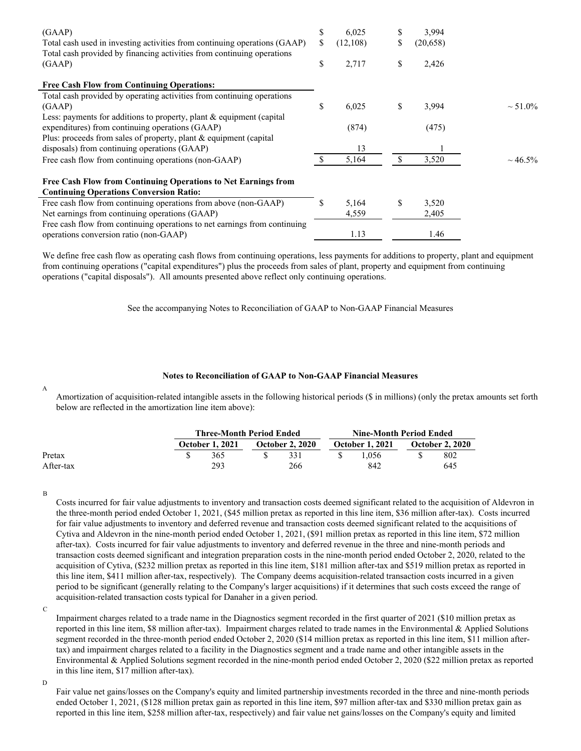| (GAAP)<br>Total cash used in investing activities from continuing operations (GAAP)<br>Total cash provided by financing activities from continuing operations | \$<br>\$ | 6,025<br>(12,108) | S             | 3,994<br>(20,658) |               |
|---------------------------------------------------------------------------------------------------------------------------------------------------------------|----------|-------------------|---------------|-------------------|---------------|
| (GAAP)                                                                                                                                                        | \$       | 2,717             | \$            | 2,426             |               |
| <b>Free Cash Flow from Continuing Operations:</b>                                                                                                             |          |                   |               |                   |               |
| Total cash provided by operating activities from continuing operations                                                                                        |          |                   |               |                   |               |
| (GAAP)                                                                                                                                                        | S        | 6,025             | \$            | 3,994             | $\sim 51.0\%$ |
| Less: payments for additions to property, plant & equipment (capital<br>expenditures) from continuing operations (GAAP)                                       |          | (874)             |               | (475)             |               |
| Plus: proceeds from sales of property, plant & equipment (capital                                                                                             |          |                   |               |                   |               |
| disposals) from continuing operations (GAAP)                                                                                                                  |          | 13                |               |                   |               |
| Free cash flow from continuing operations (non-GAAP)                                                                                                          |          | 5,164             | <sup>\$</sup> | 3,520             | $\sim 46.5\%$ |
| Free Cash Flow from Continuing Operations to Net Earnings from<br><b>Continuing Operations Conversion Ratio:</b>                                              |          |                   |               |                   |               |
| Free cash flow from continuing operations from above (non-GAAP)                                                                                               |          | 5,164             | S             | 3,520             |               |
| Net earnings from continuing operations (GAAP)                                                                                                                |          | 4,559             |               | 2,405             |               |
| Free cash flow from continuing operations to net earnings from continuing<br>operations conversion ratio (non-GAAP)                                           |          | 1.13              |               | 1.46              |               |

We define free cash flow as operating cash flows from continuing operations, less payments for additions to property, plant and equipment from continuing operations ("capital expenditures") plus the proceeds from sales of plant, property and equipment from continuing operations ("capital disposals"). All amounts presented above reflect only continuing operations.

See the accompanying Notes to Reconciliation of GAAP to Non-GAAP Financial Measures

### **Notes to Reconciliation of GAAP to Non-GAAP Financial Measures**

Amortization of acquisition-related intangible assets in the following historical periods (\$ in millions) (only the pretax amounts set forth below are reflected in the amortization line item above):

|           | <b>Three-Month Period Ended</b> |  |                        |  | Nine-Month Period Ended |  |                        |  |  |
|-----------|---------------------------------|--|------------------------|--|-------------------------|--|------------------------|--|--|
|           | <b>October 1, 2021</b>          |  | <b>October 2, 2020</b> |  | <b>October 1, 2021</b>  |  | <b>October 2, 2020</b> |  |  |
| Pretax    | 365                             |  | 331                    |  | 1.056                   |  | 802                    |  |  |
| After-tax | 293                             |  | 266                    |  | 842                     |  | 645                    |  |  |

B

A

Costs incurred for fair value adjustments to inventory and transaction costs deemed significant related to the acquisition of Aldevron in the three-month period ended October 1, 2021, (\$45 million pretax as reported in this line item, \$36 million after-tax). Costs incurred for fair value adjustments to inventory and deferred revenue and transaction costs deemed significant related to the acquisitions of Cytiva and Aldevron in the nine-month period ended October 1, 2021, (\$91 million pretax as reported in this line item, \$72 million after-tax). Costs incurred for fair value adjustments to inventory and deferred revenue in the three and nine-month periods and transaction costs deemed significant and integration preparation costs in the nine-month period ended October 2, 2020, related to the acquisition of Cytiva, (\$232 million pretax as reported in this line item, \$181 million after-tax and \$519 million pretax as reported in this line item, \$411 million after-tax, respectively). The Company deems acquisition-related transaction costs incurred in a given period to be significant (generally relating to the Company's larger acquisitions) if it determines that such costs exceed the range of acquisition-related transaction costs typical for Danaher in a given period.

Impairment charges related to a trade name in the Diagnostics segment recorded in the first quarter of 2021 (\$10 million pretax as reported in this line item, \$8 million after-tax). Impairment charges related to trade names in the Environmental & Applied Solutions segment recorded in the three-month period ended October 2, 2020 (\$14 million pretax as reported in this line item, \$11 million aftertax) and impairment charges related to a facility in the Diagnostics segment and a trade name and other intangible assets in the Environmental & Applied Solutions segment recorded in the nine-month period ended October 2, 2020 (\$22 million pretax as reported in this line item, \$17 million after-tax).

D

Fair value net gains/losses on the Company's equity and limited partnership investments recorded in the three and nine-month periods ended October 1, 2021, (\$128 million pretax gain as reported in this line item, \$97 million after-tax and \$330 million pretax gain as reported in this line item, \$258 million after-tax, respectively) and fair value net gains/losses on the Company's equity and limited

C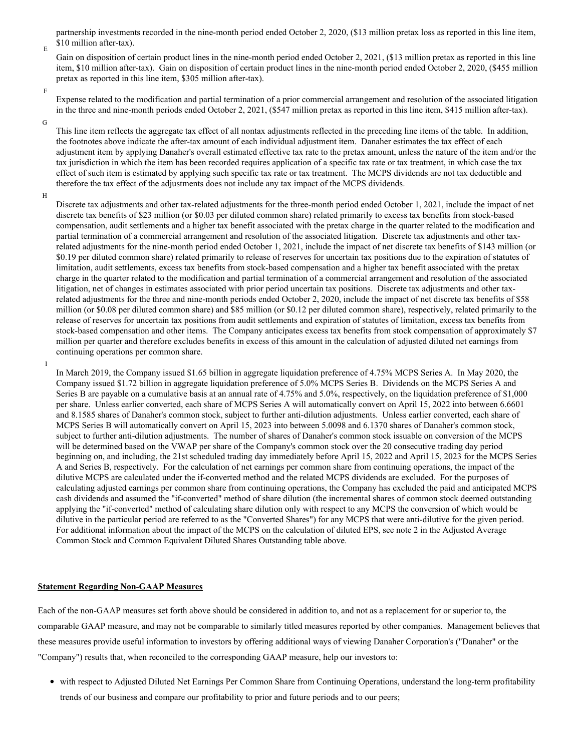partnership investments recorded in the nine-month period ended October 2, 2020, (\$13 million pretax loss as reported in this line item, \$10 million after-tax).

Gain on disposition of certain product lines in the nine-month period ended October 2, 2021, (\$13 million pretax as reported in this line item, \$10 million after-tax). Gain on disposition of certain product lines in the nine-month period ended October 2, 2020, (\$455 million pretax as reported in this line item, \$305 million after-tax).

F

E

Expense related to the modification and partial termination of a prior commercial arrangement and resolution of the associated litigation in the three and nine-month periods ended October 2, 2021, (\$547 million pretax as reported in this line item, \$415 million after-tax).

G

This line item reflects the aggregate tax effect of all nontax adjustments reflected in the preceding line items of the table. In addition, the footnotes above indicate the after-tax amount of each individual adjustment item. Danaher estimates the tax effect of each adjustment item by applying Danaher's overall estimated effective tax rate to the pretax amount, unless the nature of the item and/or the tax jurisdiction in which the item has been recorded requires application of a specific tax rate or tax treatment, in which case the tax effect of such item is estimated by applying such specific tax rate or tax treatment. The MCPS dividends are not tax deductible and therefore the tax effect of the adjustments does not include any tax impact of the MCPS dividends.

H

I

Discrete tax adjustments and other tax-related adjustments for the three-month period ended October 1, 2021, include the impact of net discrete tax benefits of \$23 million (or \$0.03 per diluted common share) related primarily to excess tax benefits from stock-based compensation, audit settlements and a higher tax benefit associated with the pretax charge in the quarter related to the modification and partial termination of a commercial arrangement and resolution of the associated litigation. Discrete tax adjustments and other taxrelated adjustments for the nine-month period ended October 1, 2021, include the impact of net discrete tax benefits of \$143 million (or \$0.19 per diluted common share) related primarily to release of reserves for uncertain tax positions due to the expiration of statutes of limitation, audit settlements, excess tax benefits from stock-based compensation and a higher tax benefit associated with the pretax charge in the quarter related to the modification and partial termination of a commercial arrangement and resolution of the associated litigation, net of changes in estimates associated with prior period uncertain tax positions. Discrete tax adjustments and other taxrelated adjustments for the three and nine-month periods ended October 2, 2020, include the impact of net discrete tax benefits of \$58 million (or \$0.08 per diluted common share) and \$85 million (or \$0.12 per diluted common share), respectively, related primarily to the release of reserves for uncertain tax positions from audit settlements and expiration of statutes of limitation, excess tax benefits from stock-based compensation and other items. The Company anticipates excess tax benefits from stock compensation of approximately \$7 million per quarter and therefore excludes benefits in excess of this amount in the calculation of adjusted diluted net earnings from continuing operations per common share.

In March 2019, the Company issued \$1.65 billion in aggregate liquidation preference of 4.75% MCPS Series A. In May 2020, the Company issued \$1.72 billion in aggregate liquidation preference of 5.0% MCPS Series B. Dividends on the MCPS Series A and Series B are payable on a cumulative basis at an annual rate of 4.75% and 5.0%, respectively, on the liquidation preference of \$1,000 per share. Unless earlier converted, each share of MCPS Series A will automatically convert on April 15, 2022 into between 6.6601 and 8.1585 shares of Danaher's common stock, subject to further anti-dilution adjustments. Unless earlier converted, each share of MCPS Series B will automatically convert on April 15, 2023 into between 5.0098 and 6.1370 shares of Danaher's common stock, subject to further anti-dilution adjustments. The number of shares of Danaher's common stock issuable on conversion of the MCPS will be determined based on the VWAP per share of the Company's common stock over the 20 consecutive trading day period beginning on, and including, the 21st scheduled trading day immediately before April 15, 2022 and April 15, 2023 for the MCPS Series A and Series B, respectively. For the calculation of net earnings per common share from continuing operations, the impact of the dilutive MCPS are calculated under the if-converted method and the related MCPS dividends are excluded. For the purposes of calculating adjusted earnings per common share from continuing operations, the Company has excluded the paid and anticipated MCPS cash dividends and assumed the "if-converted" method of share dilution (the incremental shares of common stock deemed outstanding applying the "if-converted" method of calculating share dilution only with respect to any MCPS the conversion of which would be dilutive in the particular period are referred to as the "Converted Shares") for any MCPS that were anti-dilutive for the given period. For additional information about the impact of the MCPS on the calculation of diluted EPS, see note 2 in the Adjusted Average Common Stock and Common Equivalent Diluted Shares Outstanding table above.

#### **Statement Regarding Non-GAAP Measures**

Each of the non-GAAP measures set forth above should be considered in addition to, and not as a replacement for or superior to, the comparable GAAP measure, and may not be comparable to similarly titled measures reported by other companies. Management believes that these measures provide useful information to investors by offering additional ways of viewing Danaher Corporation's ("Danaher" or the "Company") results that, when reconciled to the corresponding GAAP measure, help our investors to:

with respect to Adjusted Diluted Net Earnings Per Common Share from Continuing Operations, understand the long-term profitability trends of our business and compare our profitability to prior and future periods and to our peers;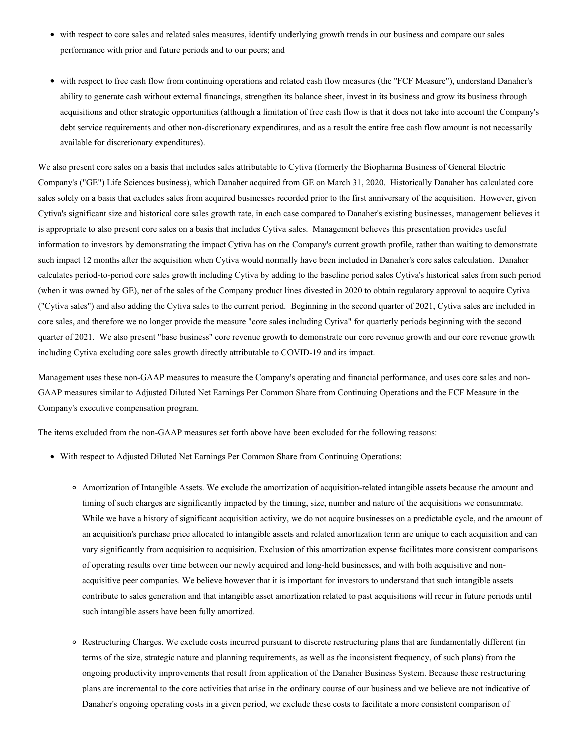- with respect to core sales and related sales measures, identify underlying growth trends in our business and compare our sales performance with prior and future periods and to our peers; and
- with respect to free cash flow from continuing operations and related cash flow measures (the "FCF Measure"), understand Danaher's ability to generate cash without external financings, strengthen its balance sheet, invest in its business and grow its business through acquisitions and other strategic opportunities (although a limitation of free cash flow is that it does not take into account the Company's debt service requirements and other non-discretionary expenditures, and as a result the entire free cash flow amount is not necessarily available for discretionary expenditures).

We also present core sales on a basis that includes sales attributable to Cytiva (formerly the Biopharma Business of General Electric Company's ("GE") Life Sciences business), which Danaher acquired from GE on March 31, 2020. Historically Danaher has calculated core sales solely on a basis that excludes sales from acquired businesses recorded prior to the first anniversary of the acquisition. However, given Cytiva's significant size and historical core sales growth rate, in each case compared to Danaher's existing businesses, management believes it is appropriate to also present core sales on a basis that includes Cytiva sales. Management believes this presentation provides useful information to investors by demonstrating the impact Cytiva has on the Company's current growth profile, rather than waiting to demonstrate such impact 12 months after the acquisition when Cytiva would normally have been included in Danaher's core sales calculation. Danaher calculates period-to-period core sales growth including Cytiva by adding to the baseline period sales Cytiva's historical sales from such period (when it was owned by GE), net of the sales of the Company product lines divested in 2020 to obtain regulatory approval to acquire Cytiva ("Cytiva sales") and also adding the Cytiva sales to the current period. Beginning in the second quarter of 2021, Cytiva sales are included in core sales, and therefore we no longer provide the measure "core sales including Cytiva" for quarterly periods beginning with the second quarter of 2021. We also present "base business" core revenue growth to demonstrate our core revenue growth and our core revenue growth including Cytiva excluding core sales growth directly attributable to COVID-19 and its impact.

Management uses these non-GAAP measures to measure the Company's operating and financial performance, and uses core sales and non-GAAP measures similar to Adjusted Diluted Net Earnings Per Common Share from Continuing Operations and the FCF Measure in the Company's executive compensation program.

The items excluded from the non-GAAP measures set forth above have been excluded for the following reasons:

- With respect to Adjusted Diluted Net Earnings Per Common Share from Continuing Operations:
	- Amortization of Intangible Assets. We exclude the amortization of acquisition-related intangible assets because the amount and timing of such charges are significantly impacted by the timing, size, number and nature of the acquisitions we consummate. While we have a history of significant acquisition activity, we do not acquire businesses on a predictable cycle, and the amount of an acquisition's purchase price allocated to intangible assets and related amortization term are unique to each acquisition and can vary significantly from acquisition to acquisition. Exclusion of this amortization expense facilitates more consistent comparisons of operating results over time between our newly acquired and long-held businesses, and with both acquisitive and nonacquisitive peer companies. We believe however that it is important for investors to understand that such intangible assets contribute to sales generation and that intangible asset amortization related to past acquisitions will recur in future periods until such intangible assets have been fully amortized.
	- Restructuring Charges. We exclude costs incurred pursuant to discrete restructuring plans that are fundamentally different (in terms of the size, strategic nature and planning requirements, as well as the inconsistent frequency, of such plans) from the ongoing productivity improvements that result from application of the Danaher Business System. Because these restructuring plans are incremental to the core activities that arise in the ordinary course of our business and we believe are not indicative of Danaher's ongoing operating costs in a given period, we exclude these costs to facilitate a more consistent comparison of